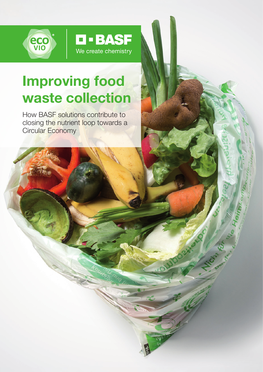

# Improving food waste collection

**D-BASF** 

We create chemistry

How BASF solutions contribute to closing the nutrient loop towards a Circular Economy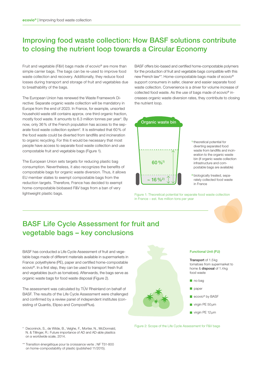### Improving food waste collection: How BASF solutions contribute to closing the nutrient loop towards a Circular Economy

Fruit and vegetable (F&V) bags made of ecovio® are more than simple carrier bags. The bags can be re-used to improve food waste collection and recovery. Additionally, they reduce food losses during transport and storage of fruit and vegetables due to breathability of the bags.

The European Union has renewed the Waste Framework Directive: Separate organic waste collection will be mandatory in Europe from the end of 2023. In France, for example, unsorted household waste still contains approx. one third organic fraction, mostly food waste. It amounts to 6.3 million tonnes per year\*. By now, only 36% of the French population has access to the separate food waste collection system\*. It is estimated that 60% of the food waste could be diverted from landfills and incineration to organic recycling. For this it would be necessary that most people have access to separate food waste collection and use compostable fruit and vegetable bags (Figure 1).

The European Union sets targets for reducing plastic bag consumption. Nevertheless, it also recognizes the benefits of compostable bags for organic waste diversion. Thus, it allows EU member states to exempt compostable bags from the reduction targets. Therefore, France has decided to exempt home-compostable biobased F&V bags from a ban of very lightweight plastic bags.

BASF offers bio-based and certified home-compostable polymers for the production of fruit and vegetable bags compatible with this new French law\*\*. Home-compostable bags made of ecovio® support consumers in safer, cleaner and easier separate food waste collection. Convenience is a driver for volume increase of collected food waste. As the use of bags made of ecovio® increases organic waste diversion rates, they contribute to closing the nutrient loop.



1) theoretical potential for diverting separated food waste from landfills and incineration to the organic waste bin (if organic waste collection infrastructure and compostable bags are available)

2) biologically treated, separately collected food waste in France

Figure 1: Theoretical potential for separate food waste collection in France – est. five million tons per year

### BASF Life Cycle Assessment for fruit and vegetable bags – key conclusions

BASF has conducted a Life Cycle Assessment of fruit and vegetable bags made of different materials available in supermarkets in France: polyethylene (PE), paper and certified home-compostable ecovio®. In a first step, they can be used to transport fresh fruit and vegetables (such as tomatoes). Afterwards, the bags serve as organic waste bags for food waste disposal (Figure 2).

The assessment was calculated by TÜV Rheinland on behalf of BASF. The results of the Life Cycle Assessment were challenged and confirmed by a review panel of independent institutes (consisting of Quantis, Elipso and CompostPlus).

\* Deconinck, S., de Wilde, B., Velghe, F., Mortier, N., McDonnald, N. & Tillinger, R.: Future importance of AD and AD-able plastics on a worldwide scale, 2014.

\*\* Transition énergétique pour la croissance verte ; NF T51-800 on home-compostability of plastic (published 11/2015).



#### Functional Unit (FU)

Transport of 1.5kg tomatoes from supermarket to home & disposal of 1.4kg food waste

- $\blacksquare$  no bag
- $\blacksquare$  paper
- ecovio<sup>®</sup> by BASF
- virgin PE 50µm
- virgin PE 12 µm

Figure 2: Scope of the Life Cycle Assessment for F&V bags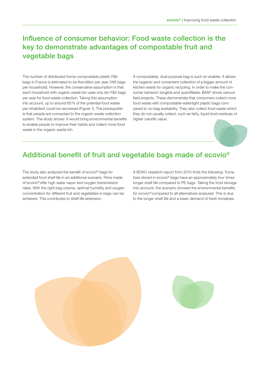### Influence of consumer behavior: Food waste collection is the key to demonstrate advantages of compostable fruit and vegetable bags

The number of distributed home-compostable plastic F&V bags in France is estimated to be five billion per year (166 bags per household). However, the conservative assumption is that each household with organic waste bin uses only ten F&V bags per year for food waste collection. Taking this assumption into account, up to around 60% of the potential food waste per inhabitant could be recovered (Figure 1). The prerequisite is that people are connected to the organic waste collection system. The study shows: It would bring environmental benefits to enable people to improve their habits and collect more food waste in the organic waste bin.

A compostable, dual-purpose bag is such an enabler. It allows the hygienic and convenient collection of a bigger amount of kitchen waste for organic recycling. In order to make the consumer behavior tangible and quantifiable, BASF drives various field projects. These demonstrate that consumers collect more food waste with compostable watertight plastic bags compared to no-bag availability. They also collect food waste which they do not usually collect, such as fatty, liquid food residues of higher calorific value.



### Additional benefit of fruit and vegetable bags made of ecovio®

The study also analyzed the benefit of ecovio® bags for extended food shelf life in an additional scenario. Films made of ecovio® offer high water vapor and oxygen transmission rates. With the right bag volume, optimal humidity and oxygen concentration for different fruit and vegetables in bags can be achieved. This contributes to shelf life extension.

A BOKU research report from 2015 finds the following: Tomatoes stored in ecovio® bags have an approximately four times longer shelf life compared to PE bags. Taking the food storage into account, the scenario showed the environmental benefits for ecovio® compared to all alternatives analyzed. This is due to the longer shelf life and a lower demand of fresh tomatoes.

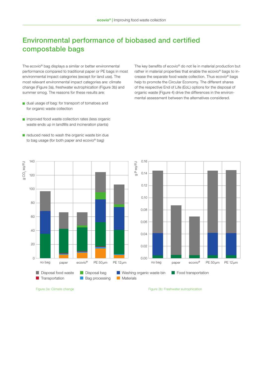## Environmental performance of biobased and certified compostable bags

The ecovio® bag displays a similar or better environmental performance compared to traditional paper or PE bags in most environmental impact categories (except for land use). The most relevant environmental impact categories are: climate change (Figure 3a), freshwater eutrophication (Figure 3b) and summer smog. The reasons for these results are:

- dual usage of bag: for transport of tomatoes and for organic waste collection
- **n** improved food waste collection rates (less organic waste ends up in landfills and incineration plants)
- rather in material properties that enable the ecovio® bags to increase the separate food waste collection. Thus ecovio® bags help to promote the Circular Economy. The different shares of the respective End of Life (EoL) options for the disposal of organic waste (Figure 4) drive the differences in the environmental assessment between the alternatives considered.

The key benefits of ecovio® do not lie in material production but

 $\blacksquare$  reduced need to wash the organic waste bin due to bag usage (for both paper and ecovio® bag)

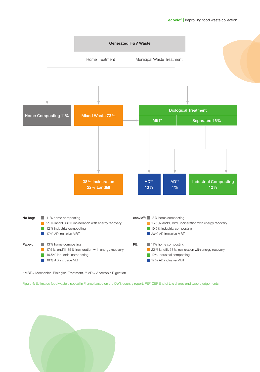

\* MBT = Mechanical Biological Treatment, \*\* AD = Anaerobic Digestion

Figure 4: Estimated food waste disposal in France based on the OWS country report, PEF-OEF End of Life shares and expert judgements